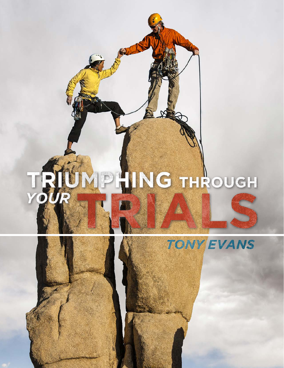# ONP HING THROUGH TRIN



TONY EVANS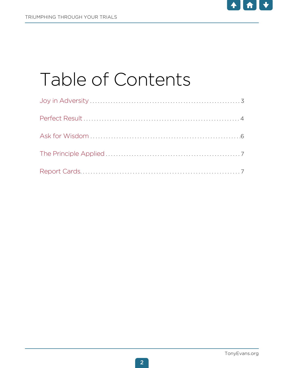

## Table of Contents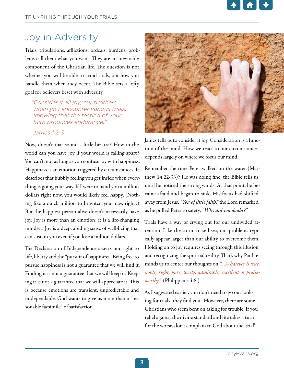

## Joy in Adversity

Trials, tribulations, afflictions, ordeals, burdens, problems call them what you want. They are an inevitable component of the Christian life. The question is not whether you will be able to avoid trials, but how you handle them when they occur. The Bible sets a lofty goal for believers beset with adversity.

*"Consider it all joy, my brothers, when you encounter various trials, knowing that the testing of your faith produces endurance."* 

#### *James 1:2-3*

Now, doesn't that sound a little bizarre? How in the world can you have joy if your world is falling apart? You can't, not as long as you confuse joy with happiness. Happiness is an emotion triggered by circumstances. It describes that bubbly feeling you get inside when everything is going your way. If I were to hand you a million dollars right now, you would likely feel happy, (Nothing like a quick million to brighten your day, right?) But the happiest person alive doesn't necessarily have joy. Joy is more than an emotion; it is a life-changing mindset. Joy is a deep, abiding sense of well-being that can sustain you even if you lose a million dollars.

The Declaration of Independence asserts our right to life, liberty and the "pursuit of happiness.'' Being free to pursue happiness is not a guarantee that we will find it. Finding it is not a guarantee that we will keep it. Keeping it is not a guarantee that we will appreciate it. This is because emotions are transient, unpredictable and undependable. God wants to give us more than a "reasonable facsimile" of satisfaction.



James tells us to consider it joy. Consideration is a function of the mind. How we react to our circumstances depends largely on where we focus our mind.

Remember the time Peter walked on the water (Matthew 14:22-33)? He was doing fine, the Bible tells us, until he noticed the strong winds. At that point, he became afraid and began to sink. His focus had shifted away from Jesus. *"You of little faith,"* the Lord remarked as he pulled Peter to safety, *"Why did you doubt?"*

Trials have a way of crying out for our undivided attention. Like the storm-tossed sea, our problems typically appear larger than our ability to overcome them. Holding on to joy requires seeing through this illusion and recognizing the spiritual reality. That's why Paul reminds us to center our thoughts on *"…Whatever is true, noble, right, pure, lovely, admirable, excellent or praiseworthy"* (Philippians 4:8.)

As I suggested earlier, you don't need to go out looking for trials; they find you. However, there are some Christians who seem bent on asking for trouble. If you rebel against the divine standard and life takes a turn for the worse, don't complain to God about the 'trial'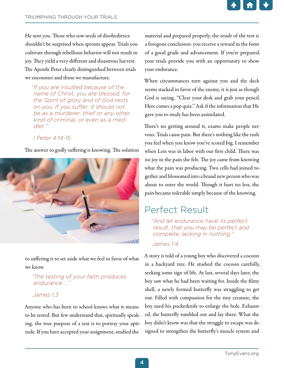

He sent you. Those who sow seeds of disobedience shouldn't be surprised when sprouts appear. Trials you cultivate through rebellious behavior will not result in joy. They yield a very different and disastrous harvest. The Apostle Peter clearly distinguished between trials we encounter and those we manufacture.

*"If you are insulted because of the name of Christ, you are blessed, for the Spirit of glory and of God rests on you. If you suffer, it should not be as a murderer, thief or any other kind of criminal, or even as a meddler."* 

#### *I Peter 4:14-15*

The answer to godly suffering is knowing. The solution



to suffering is to set aside what we feel in favor of what we know.

#### *"The testing of your faith produces endurance …"*

#### *James 1:3*

Anyone who has been to school knows what it means to be tested. But few understand that, spiritually speaking, the true purpose of a test is to portray your aptitude. If you have accepted your assignment, studied the

material and prepared properly, the result of the test is a foregone conclusion: you receive a reward in the form of a good grade and advancement. If you're prepared, your trials provide you with an opportunity to show your endurance.

When circumstances turn against you and the deck seems stacked in favor of the enemy, it is just as though God is saying, "Clear your desk and grab your pencil. Here comes a pop quiz.'' Ask if the information that He gave you to study has been assimilated.

There's no getting around it, exams make people nervous. Trials cause pain. But there's nothing like the rush you feel when you know you've scored big. I remember when Lois was in labor with our first child. There was no joy in the pain she felt. The joy came from knowing what the pain was producing. Two cells had joined together and blossomed into a brand new person who was about to enter the world. Though it hurt no less, the pain became tolerable simply because of the knowing.

## Perfect Result

*"And let endurance have its perfect result, that you may be perfect and complete, lacking in nothing."* 

#### *James 1:4*

A story is told of a young boy who discovered a cocoon in a backyard tree. He studied the cocoon carefully, seeking some sign of life. At last, several days later, the boy saw what he had been waiting for. Inside the filmy shell, a newly formed butterfly was struggling to get out. Filled with compassion for the tiny creature, the boy used his pocketknife to enlarge the hole. Exhausted, the butterfly tumbled out and lay there. What the boy didn't know was that the struggle to escape was designed to strengthen the butterfly's muscle system and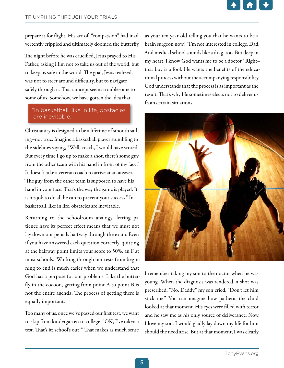

prepare it for flight. His act of "compassion" had inadvertently crippled and ultimately doomed the butterfly.

The night before he was crucified, Jesus prayed to His Father, asking Him not to take us out of the world, but to keep us safe in the world. The goal, Jesus realized, was not to steer around difficulty, but to navigate safely through it. That concept seems troublesome to some of us. Somehow, we have gotten the idea that

#### "In basketball, like in life, obstacles are inevitable."

Christianity is designed to be a lifetime of smooth sailing–not true. Imagine a basketball player stumbling to the sidelines saying, "Well, coach, I would have scored. But every time I go up to make a shot, there's some guy from the other team with his hand in front of my face." It doesn't take a veteran coach to arrive at an answer. "The guy from the other team is supposed to have his hand in your face. That's the way the game is played. It is his job to do all he can to prevent your success." In basketball, like in life, obstacles are inevitable.

Returning to the schoolroom analogy, letting patience have its perfect effect means that we must not lay down our pencils halfway through the exam. Even if you have answered each question correctly, quitting at the halfway point limits your score to 50%, an F at most schools. Working through our tests from beginning to end is much easier when we understand that God has a purpose for our problems. Like the butterfly in the cocoon, getting from point A to point B is not the entire agenda. The process of getting there is equally important.

Too many of us, once we've passed our first test, we want to skip from kindergarten to college. "OK, I've taken a test. That's it; school's out!" That makes as much sense

as your ten-year-old telling you that he wants to be a brain surgeon now! "I'm not interested in college, Dad. And medical school sounds like a drag, too. But deep in my heart, I know God wants me to be a doctor." Right– that boy is a fool. He wants the benefits of the educational process without the accompanying responsibility. God understands that the process is as important as the result. That's why He sometimes elects not to deliver us from certain situations.



I remember taking my son to the doctor when he was young. When the diagnosis was rendered, a shot was prescribed. "No, Daddy," my son cried. "Don't let him stick me." You can imagine how pathetic the child looked at that moment. His eyes were filled with terror, and he saw me as his only source of deliverance. Now, I love my son. I would gladly lay down my life for him should the need arise. But at that moment, I was clearly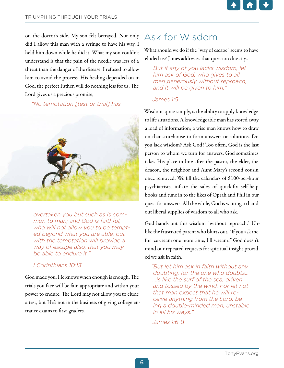

on the doctor's side. My son felt betrayed. Not only did I allow this man with a syringe to have his way, I held him down while he did it. What my son couldn't understand is that the pain of the needle was less of a threat than the danger of the disease. I refused to allow him to avoid the process. His healing depended on it. God, the perfect Father, will do nothing less for us. The Lord gives us a precious promise,

#### *"No temptation [test or trial] has*



*overtaken you but such as is common to man; and God is faithful, who will not allow you to be tempted beyond what you are able, but with the temptation will provide a way of escape also, that you may be able to endure it."* 

#### *I Corinthians 10:13*

God made you. He knows when enough is enough. The trials you face will be fair, appropriate and within your power to endure. The Lord may not allow you to elude a test, but He's not in the business of giving college entrance exams to first-graders.

## Ask for Wisdom

What should we do if the "way of escape" seems to have eluded us? James addresses that question directly…

*"But if any of you lacks wisdom, let him ask of God, who gives to all men generously without reproach, and it will be given to him."* 

#### *James 1:5*

Wisdom, quite simply, is the ability to apply knowledge to life situations. A knowledgeable man has stored away a load of information; a wise man knows how to draw on that storehouse to form answers or solutions. Do you lack wisdom? Ask God! Too often, God is the last person to whom we turn for answers. God sometimes takes His place in line after the pastor, the elder, the deacon, the neighbor and Aunt Mary's second cousin once removed. We fill the calendars of \$100-per-hour psychiatrists, inflate the sales of quick-fix self-help books and tune in to the likes of Oprah and Phil in our quest for answers. All the while, God is waiting to hand out liberal supplies of wisdom to all who ask.

God hands out this wisdom "without reproach." Unlike the frustrated parent who blurts out, "If you ask me for ice cream one more time, I'll scream!" God doesn't mind our repeated requests for spiritual insight provided we ask in faith.

*"But let him ask in faith without any doubting, for the one who doubts... ...is like the surf of the sea, driven and tossed by the wind. For let not that man expect that he will receive anything from the Lord, being a double-minded man, unstable in all his ways."* 

*James 1:6-8*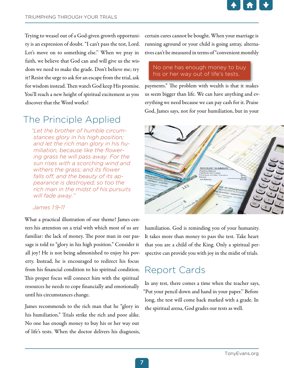

Trying to weasel out of a God-given growth opportunity is an expression of doubt. "I can't pass the test, Lord. Let's move on to something else." When we pray in faith, we believe that God can and will give us the wisdom we need to make the grade. Don't believe me; try it! Resist the urge to ask for an escape from the trial, ask for wisdom instead. Then watch God keep His promise. You'll reach a new height of spiritual excitement as you discover that the Word works!

## The Principle Applied

*"Let the brother of humble circumstances glory in his high position; and let the rich man glory in his humiliation, because like the flowering grass he will pass away. For the sun rises with a scorching wind and withers the grass; and its flower falls off, and the beauty of its appearance is destroyed; so too the rich man in the midst of his pursuits will fade away."* 

#### *James 1:9-11*

What a practical illustration of our theme! James centers his attention on a trial with which most of us are familiar: the lack of money. The poor man in our passage is told to "glory in his high position." Consider it all joy! He is not being admonished to enjoy his poverty. Instead, he is encouraged to redirect his focus from his financial condition to his spiritual condition. This proper focus will connect him with the spiritual resources he needs to cope financially and emotionally until his circumstances change.

James recommends to the rich man that he "glory in his humiliation." Trials strike the rich and poor alike. No one has enough money to buy his or her way out of life's tests. When the doctor delivers his diagnosis, certain cures cannot be bought. When your marriage is running aground or your child is going astray, alternatives can't be measured in terms of "convenient monthly

#### No one has enough money to buy his or her way out of life's tests.

payments." The problem with wealth is that it makes us seem bigger than life. We can have anything and everything we need because we can pay cash for it. Praise God, James says, not for your humiliation, but in your



humiliation. God is reminding you of your humanity. It takes more than money to pass the test. Take heart that you are a child of the King. Only a spiritual perspective can provide you with joy in the midst of trials.

## Report Cards

In any test, there comes a time when the teacher says, "Put your pencil down and hand in your paper.'' Before long, the test will come back marked with a grade. In the spiritual arena, God grades our tests as well.